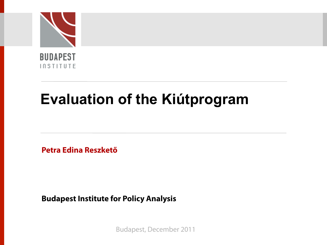

# **Evaluation of the Kiútprogram**

**Petra Edina Reszkető** 

**Budapest Institute for Policy Analysis**

Budapest, December 2011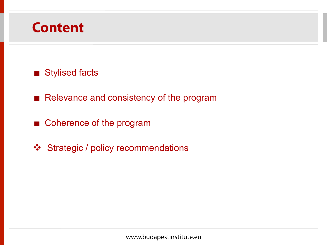### **Content**

### Stylised facts

- Relevance and consistency of the program
- Coherence of the program
- ❖ Strategic / policy recommendations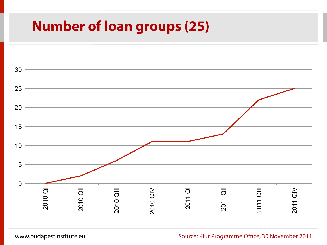## **Number of loan groups (25)**

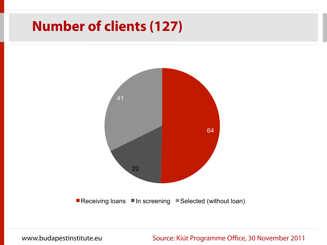## **Number of clients (127)**

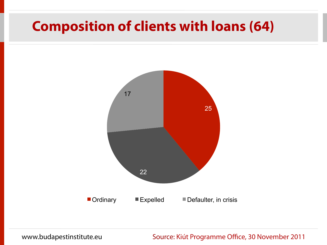## **Composition of clients with loans (64)**

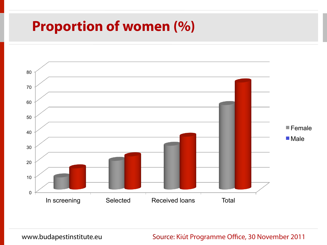## **Proportion of women (%)**

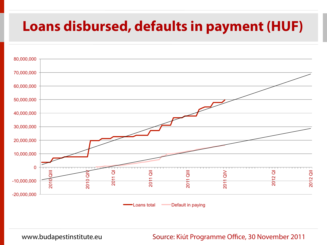# **Loans disbursed, defaults in payment (HUF)**

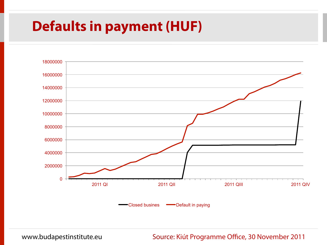# **Defaults in payment (HUF)**

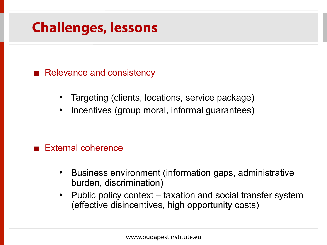# **Challenges, lessons**

Relevance and consistency

- Targeting (clients, locations, service package)
- Incentives (group moral, informal guarantees)

### External coherence

- Business environment (information gaps, administrative burden, discrimination)
- Public policy context taxation and social transfer system (effective disincentives, high opportunity costs)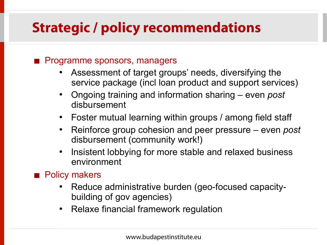# **Strategic / policy recommendations**

### Programme sponsors, managers

- Assessment of target groups' needs, diversifying the service package (incl loan product and support services)
- Ongoing training and information sharing even *post*  disbursement
- Foster mutual learning within groups / among field staff
- Reinforce group cohesion and peer pressure even *post*  disbursement (community work!)
- Insistent lobbying for more stable and relaxed business environment

### **Policy makers**

- Reduce administrative burden (geo-focused capacitybuilding of gov agencies)
- Relaxe financial framework regulation